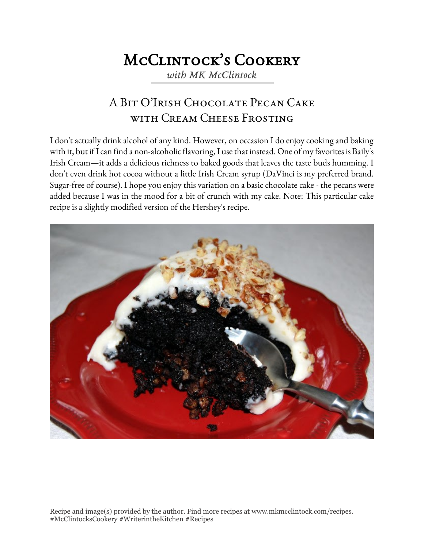## McClintock's Cookery

*with MK McClintock*

## A Bit O'Irish Chocolate Pecan Cake WITH CREAM CHEESE FROSTING

I don't actually drink alcohol of any kind. However, on occasion I do enjoy cooking and baking with it, but if I can find a non-alcoholic flavoring, I use that instead. One of my favorites is Baily's Irish Cream—it adds a delicious richness to baked goods that leaves the taste buds humming. I don't even drink hot cocoa without a little Irish Cream syrup (DaVinci is my preferred brand. Sugar-free of course). I hope you enjoy this variation on a basic chocolate cake - the pecans were added because I was in the mood for a bit of crunch with my cake. Note: This particular cake recipe is a slightly modified version of the Hershey's recipe.



Recipe and image(s) provided by the author. Find more recipes at www.mkmcclintock.com/recipes. #McClintocksCookery #WriterintheKitchen #Recipes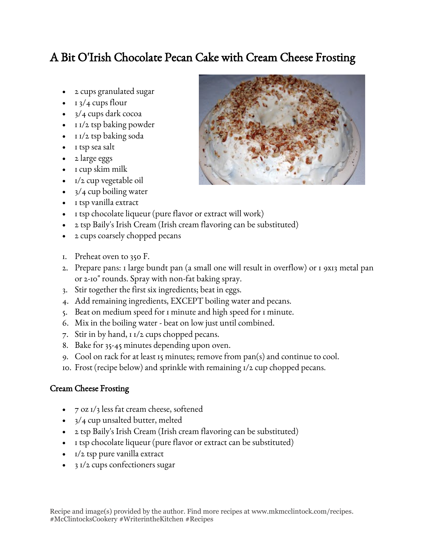## A Bit O'Irish Chocolate Pecan Cake with Cream Cheese Frosting

- 2 cups granulated sugar
- $\cdot$  1 3/4 cups flour
- 3/4 cups dark cocoa
- $1/\sqrt{2}$  tsp baking powder
- 1 1/2 tsp baking soda
- I tsp sea salt
- 2 large eggs
- $\bullet$  I cup skim milk
- 1/2 cup vegetable oil
- $3/4$  cup boiling water
- 1 tsp vanilla extract
- I tsp chocolate liqueur (pure flavor or extract will work)
- 2 tsp Baily's Irish Cream (Irish cream flavoring can be substituted)
- 2 cups coarsely chopped pecans
- 1. Preheat oven to 350 F.
- 2. Prepare pans: 1 large bundt pan (a small one will result in overflow) or 1 9x13 metal pan or 2-10" rounds. Spray with non-fat baking spray.
- 3. Stir together the first six ingredients; beat in eggs.
- 4. Add remaining ingredients, EXCEPT boiling water and pecans.
- 5. Beat on medium speed for 1 minute and high speed for 1 minute.
- 6. Mix in the boiling water beat on low just until combined.
- 7. Stir in by hand, 1 1/2 cups chopped pecans.
- 8. Bake for 35-45 minutes depending upon oven.
- 9. Cool on rack for at least 15 minutes; remove from pan(s) and continue to cool.
- 10. Frost (recipe below) and sprinkle with remaining 1/2 cup chopped pecans.

## Cream Cheese Frosting

- 7 oz 1/3 less fat cream cheese, softened
- 3/4 cup unsalted butter, melted
- 2 tsp Baily's Irish Cream (Irish cream flavoring can be substituted)
- I tsp chocolate liqueur (pure flavor or extract can be substituted)
- $\bullet$   $I/2$  tsp pure vanilla extract
- 3 1/2 cups confectioners sugar